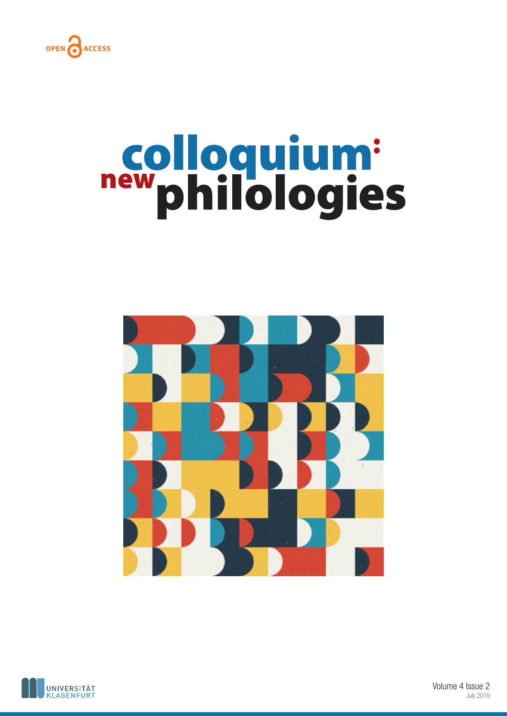

# new philologies





Volume 4 Issue 2 July 2019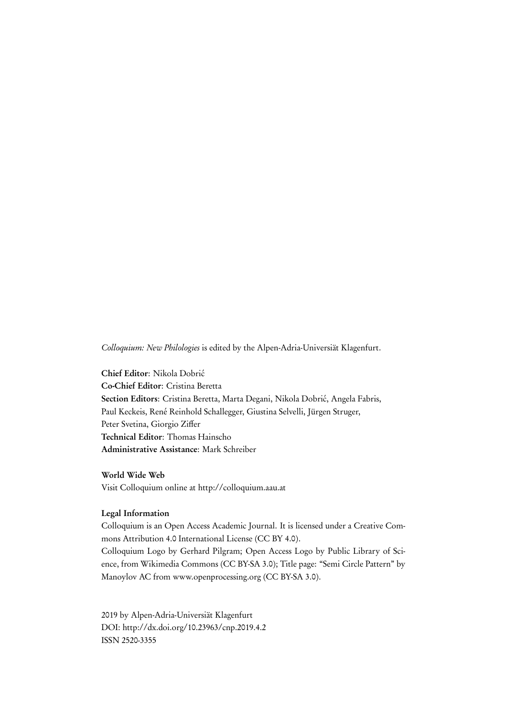Colloquium: New Philologies is edited by the Alpen-Adria-Universiät Klagenfurt.

Chief Editor: Nikola Dobrić Co-Chief Editor: Cristina Beretta Section Editors: Cristina Beretta, Marta Degani, Nikola Dobrić, Angela Fabris, Paul Keckeis, René Reinhold Schallegger, Giustina Selvelli, Jürgen Struger, Peter Svetina, Giorgio Ziffer Technical Editor: Thomas Hainscho Administrative Assistance: Mark Schreiber

World Wide Web Visit Colloquium online at http://colloquium.aau.at

### Legal Information

Colloquium is an Open Access Academic Journal. It is licensed under a Creative Commons Attribution 4.0 International License (CC BY 4.0).

Colloquium Logo by Gerhard Pilgram; Open Access Logo by Public Library of Science, from Wikimedia Commons (CC BY-SA 3.0); Title page: "Semi Circle Pattern" by Manoylov AC from www.openprocessing.org (CC BY-SA 3.0).

2019 by Alpen-Adria-Universiät Klagenfurt DOI: http://dx.doi.org/10.23963/cnp.2019.4.2 ISSN 2520-3355